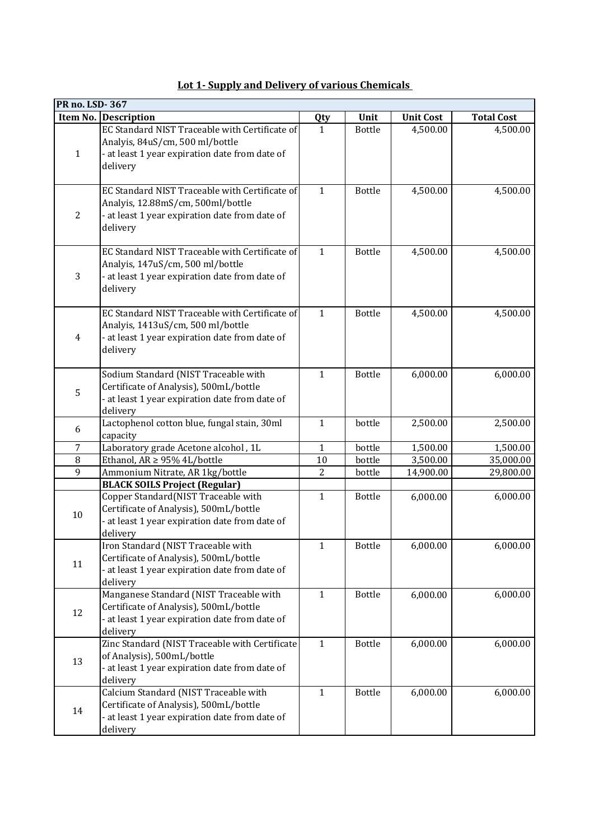|                | <b>PR no. LSD-367</b>                                                                                                                             |                |               |                  |                   |  |  |
|----------------|---------------------------------------------------------------------------------------------------------------------------------------------------|----------------|---------------|------------------|-------------------|--|--|
|                | Item No. Description                                                                                                                              | <b>Qty</b>     | Unit          | <b>Unit Cost</b> | <b>Total Cost</b> |  |  |
| $\mathbf{1}$   | EC Standard NIST Traceable with Certificate of<br>Analyis, 84uS/cm, 500 ml/bottle<br>- at least 1 year expiration date from date of<br>delivery   | $\mathbf{1}$   | <b>Bottle</b> | 4,500.00         | 4,500.00          |  |  |
| $\overline{2}$ | EC Standard NIST Traceable with Certificate of<br>Analyis, 12.88mS/cm, 500ml/bottle<br>- at least 1 year expiration date from date of<br>delivery | $\mathbf{1}$   | <b>Bottle</b> | 4,500.00         | 4,500.00          |  |  |
| 3              | EC Standard NIST Traceable with Certificate of<br>Analyis, 147uS/cm, 500 ml/bottle<br>- at least 1 year expiration date from date of<br>delivery  | $\mathbf{1}$   | <b>Bottle</b> | 4,500.00         | 4,500.00          |  |  |
| 4              | EC Standard NIST Traceable with Certificate of<br>Analyis, 1413uS/cm, 500 ml/bottle<br>- at least 1 year expiration date from date of<br>delivery | $\mathbf{1}$   | <b>Bottle</b> | 4,500.00         | 4,500.00          |  |  |
| 5              | Sodium Standard (NIST Traceable with<br>Certificate of Analysis), 500mL/bottle<br>- at least 1 year expiration date from date of<br>delivery      | $\mathbf{1}$   | <b>Bottle</b> | 6,000.00         | 6,000.00          |  |  |
| 6              | Lactophenol cotton blue, fungal stain, 30ml<br>capacity                                                                                           | $\mathbf{1}$   | bottle        | 2,500.00         | 2,500.00          |  |  |
| $\overline{7}$ | Laboratory grade Acetone alcohol, 1L                                                                                                              | $\mathbf{1}$   | bottle        | 1,500.00         | 1,500.00          |  |  |
| $\, 8$         | Ethanol, AR $\geq$ 95% 4L/bottle                                                                                                                  | 10             | bottle        | 3,500.00         | 35,000.00         |  |  |
| 9              | Ammonium Nitrate, AR 1kg/bottle                                                                                                                   | $\overline{c}$ | bottle        | 14,900.00        | 29,800.00         |  |  |
|                | <b>BLACK SOILS Project (Regular)</b>                                                                                                              |                |               |                  |                   |  |  |
| 10             | Copper Standard(NIST Traceable with<br>Certificate of Analysis), 500mL/bottle<br>- at least 1 year expiration date from date of<br>delivery       | $\mathbf{1}$   | <b>Bottle</b> | 6,000.00         | 6,000.00          |  |  |
| 11             | Iron Standard (NIST Traceable with<br>Certificate of Analysis), 500mL/bottle<br>- at least 1 year expiration date from date of<br>delivery        | $\mathbf{1}$   | <b>Bottle</b> | 6,000.00         | 6,000.00          |  |  |
| 12             | Manganese Standard (NIST Traceable with<br>Certificate of Analysis), 500mL/bottle<br>- at least 1 year expiration date from date of<br>delivery   | $\mathbf{1}$   | <b>Bottle</b> | 6,000.00         | 6,000.00          |  |  |
| 13             | Zinc Standard (NIST Traceable with Certificate<br>of Analysis), 500mL/bottle<br>- at least 1 year expiration date from date of<br>delivery        | $\mathbf{1}$   | <b>Bottle</b> | 6,000.00         | 6,000.00          |  |  |
| 14             | Calcium Standard (NIST Traceable with<br>Certificate of Analysis), 500mL/bottle<br>- at least 1 year expiration date from date of<br>delivery     | $\mathbf{1}$   | <b>Bottle</b> | 6,000.00         | 6,000.00          |  |  |

| Lot 1- Supply and Delivery of various Chemicals |
|-------------------------------------------------|
|                                                 |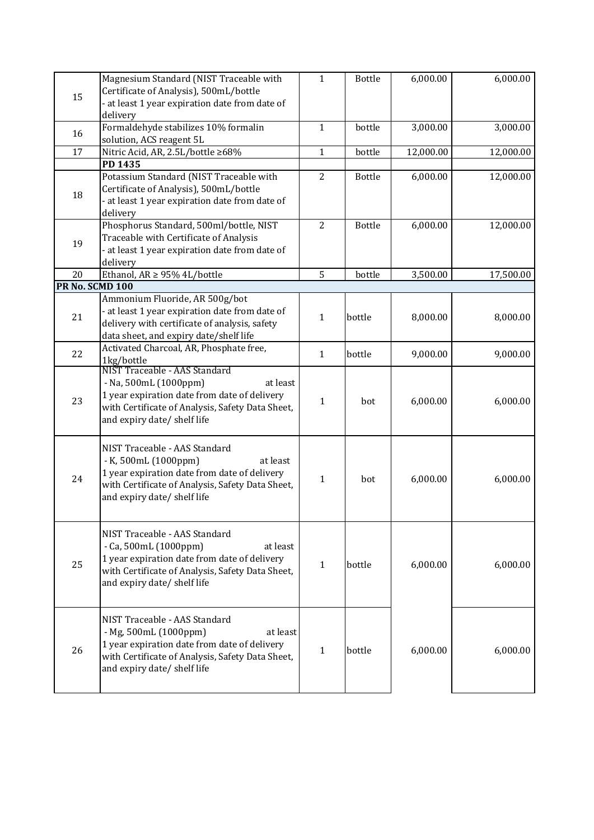|                 | Magnesium Standard (NIST Traceable with            | $\mathbf{1}$   | <b>Bottle</b> | 6,000.00  | 6,000.00  |
|-----------------|----------------------------------------------------|----------------|---------------|-----------|-----------|
| 15              | Certificate of Analysis), 500mL/bottle             |                |               |           |           |
|                 | - at least 1 year expiration date from date of     |                |               |           |           |
|                 | delivery                                           |                |               |           |           |
|                 | Formaldehyde stabilizes 10% formalin               | $\mathbf{1}$   | bottle        | 3,000.00  | 3,000.00  |
| 16              | solution, ACS reagent 5L                           |                |               |           |           |
| 17              | Nitric Acid, AR, 2.5L/bottle ≥68%                  | $\mathbf{1}$   | bottle        | 12,000.00 | 12,000.00 |
|                 |                                                    |                |               |           |           |
|                 | PD 1435<br>Potassium Standard (NIST Traceable with | $\overline{2}$ | <b>Bottle</b> | 6,000.00  | 12,000.00 |
|                 |                                                    |                |               |           |           |
| 18              | Certificate of Analysis), 500mL/bottle             |                |               |           |           |
|                 | - at least 1 year expiration date from date of     |                |               |           |           |
|                 | delivery                                           | $\overline{2}$ |               |           |           |
|                 | Phosphorus Standard, 500ml/bottle, NIST            |                | <b>Bottle</b> | 6,000.00  | 12,000.00 |
| 19              | Traceable with Certificate of Analysis             |                |               |           |           |
|                 | - at least 1 year expiration date from date of     |                |               |           |           |
|                 | delivery                                           |                |               |           |           |
| 20              | Ethanol, $AR \geq 95\%$ 4L/bottle                  | 5              | bottle        | 3,500.00  | 17,500.00 |
| PR No. SCMD 100 |                                                    |                |               |           |           |
|                 | Ammonium Fluoride, AR 500g/bot                     |                |               |           |           |
| 21              | - at least 1 year expiration date from date of     | $\mathbf{1}$   | bottle        | 8,000.00  | 8,000.00  |
|                 | delivery with certificate of analysis, safety      |                |               |           |           |
|                 | data sheet, and expiry date/shelf life             |                |               |           |           |
| 22              | Activated Charcoal, AR, Phosphate free,            | $\mathbf{1}$   | bottle        | 9,000.00  | 9,000.00  |
|                 | 1kg/bottle<br>NIST Traceable - AAS Standard        |                |               |           |           |
|                 |                                                    |                |               |           |           |
|                 | - Na, 500mL (1000ppm)<br>at least                  |                |               |           |           |
| 23              | 1 year expiration date from date of delivery       | $\mathbf{1}$   | bot           | 6,000.00  | 6,000.00  |
|                 | with Certificate of Analysis, Safety Data Sheet,   |                |               |           |           |
|                 | and expiry date/ shelf life                        |                |               |           |           |
|                 |                                                    |                |               |           |           |
|                 | NIST Traceable - AAS Standard                      |                |               |           |           |
|                 | - K, 500mL (1000ppm)<br>at least                   |                |               |           |           |
| 24              | 1 year expiration date from date of delivery       | $\mathbf{1}$   | bot           | 6,000.00  | 6,000.00  |
|                 | with Certificate of Analysis, Safety Data Sheet,   |                |               |           |           |
|                 | and expiry date/ shelf life                        |                |               |           |           |
|                 |                                                    |                |               |           |           |
|                 |                                                    |                |               |           |           |
|                 | NIST Traceable - AAS Standard                      |                |               |           |           |
|                 | $-$ Ca, 500mL (1000ppm)<br>at least                |                |               |           |           |
| 25              | 1 year expiration date from date of delivery       | $\mathbf{1}$   | bottle        | 6,000.00  | 6,000.00  |
|                 | with Certificate of Analysis, Safety Data Sheet,   |                |               |           |           |
|                 | and expiry date/ shelf life                        |                |               |           |           |
|                 |                                                    |                |               |           |           |
|                 |                                                    |                |               |           |           |
| 26              | NIST Traceable - AAS Standard                      |                |               |           |           |
|                 | - Mg, 500mL (1000ppm)<br>at least                  |                |               |           |           |
|                 | 1 year expiration date from date of delivery       | $\mathbf{1}$   | bottle        | 6,000.00  | 6,000.00  |
|                 | with Certificate of Analysis, Safety Data Sheet,   |                |               |           |           |
|                 | and expiry date/ shelf life                        |                |               |           |           |
|                 |                                                    |                |               |           |           |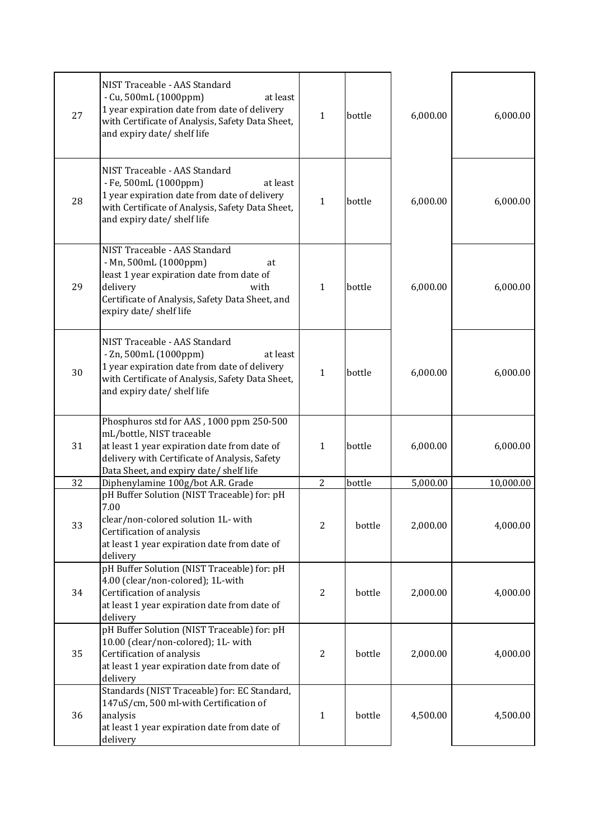| 27 | NIST Traceable - AAS Standard<br>- Cu, 500mL (1000ppm)<br>at least<br>1 year expiration date from date of delivery<br>with Certificate of Analysis, Safety Data Sheet,<br>and expiry date/ shelf life             | $\mathbf{1}$   | bottle | 6,000.00 | 6,000.00  |
|----|-------------------------------------------------------------------------------------------------------------------------------------------------------------------------------------------------------------------|----------------|--------|----------|-----------|
| 28 | NIST Traceable - AAS Standard<br>- Fe, 500mL (1000ppm)<br>at least<br>1 year expiration date from date of delivery<br>with Certificate of Analysis, Safety Data Sheet,<br>and expiry date/ shelf life             | 1              | bottle | 6,000.00 | 6,000.00  |
| 29 | NIST Traceable - AAS Standard<br>- Mn, 500mL (1000ppm)<br>at<br>least 1 year expiration date from date of<br>delivery<br>with<br>Certificate of Analysis, Safety Data Sheet, and<br>expiry date/ shelf life       | $\mathbf{1}$   | bottle | 6,000.00 | 6,000.00  |
| 30 | NIST Traceable - AAS Standard<br>$-$ Zn, 500mL (1000ppm)<br>at least<br>1 year expiration date from date of delivery<br>with Certificate of Analysis, Safety Data Sheet,<br>and expiry date/ shelf life           | $\mathbf{1}$   | bottle | 6,000.00 | 6,000.00  |
| 31 | Phosphuros std for AAS, 1000 ppm 250-500<br>mL/bottle, NIST traceable<br>at least 1 year expiration date from date of<br>delivery with Certificate of Analysis, Safety<br>Data Sheet, and expiry date/ shelf life | $\mathbf{1}$   | bottle | 6,000.00 | 6,000.00  |
| 32 | Diphenylamine 100g/bot A.R. Grade                                                                                                                                                                                 | $\overline{2}$ | bottle | 5,000.00 | 10,000.00 |
| 33 | pH Buffer Solution (NIST Traceable) for: pH<br>7.00<br>clear/non-colored solution 1L- with<br>Certification of analysis<br>at least 1 year expiration date from date of<br>delivery                               | 2              | bottle | 2,000.00 | 4,000.00  |
| 34 | pH Buffer Solution (NIST Traceable) for: pH<br>4.00 (clear/non-colored); 1L-with<br>Certification of analysis<br>at least 1 year expiration date from date of<br>delivery                                         | $\overline{2}$ | bottle | 2,000.00 | 4,000.00  |
| 35 | pH Buffer Solution (NIST Traceable) for: pH<br>10.00 (clear/non-colored); 1L- with<br>Certification of analysis<br>at least 1 year expiration date from date of<br>delivery                                       | $\overline{2}$ | bottle | 2,000.00 | 4,000.00  |
| 36 | Standards (NIST Traceable) for: EC Standard,<br>147uS/cm, 500 ml-with Certification of<br>analysis<br>at least 1 year expiration date from date of<br>delivery                                                    | $\mathbf{1}$   | bottle | 4,500.00 | 4,500.00  |